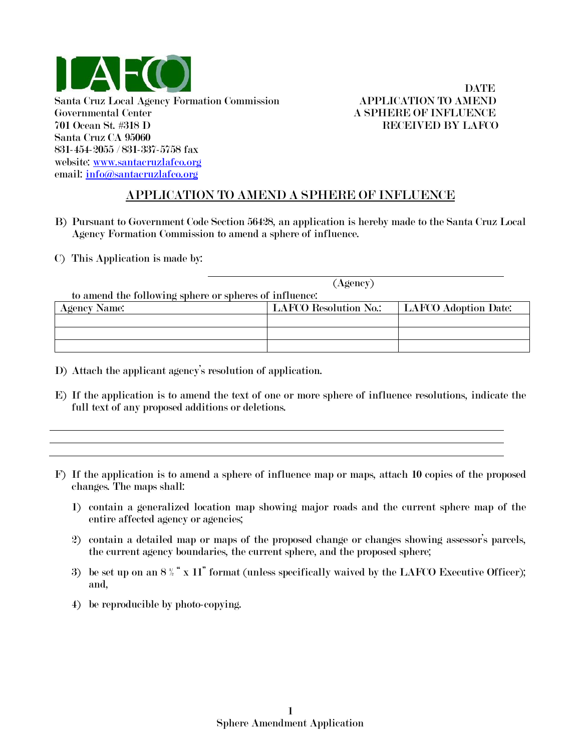

## **DATE**

## APPLICATION TO AMEND A SPHERE OF INFLUENCE

- B) Pursuant to Government Code Section 56428, an application is hereby made to the Santa Cruz Local Agency Formation Commission to amend a sphere of influence.
- C) This Application is made by:

| (Agency)                                               |                              |                      |  |
|--------------------------------------------------------|------------------------------|----------------------|--|
| to amend the following sphere or spheres of influence: |                              |                      |  |
| <b>Agency Name:</b>                                    | <b>LAFCO Resolution No.:</b> | LAFCO Adoption Date: |  |
|                                                        |                              |                      |  |
|                                                        |                              |                      |  |
|                                                        |                              |                      |  |

- D) Attach the applicant agency's resolution of application.
- E) If the application is to amend the text of one or more sphere of influence resolutions, indicate the full text of any proposed additions or deletions.
- F) If the application is to amend a sphere of influence map or maps, attach 10 copies of the proposed changes. The maps shall:
	- 1) contain a generalized location map showing major roads and the current sphere map of the entire affected agency or agencies;
	- 2) contain a detailed map or maps of the proposed change or changes showing assessor's parcels, the current agency boundaries, the current sphere, and the proposed sphere;
	- 3) be set up on an  $8\frac{y}{2}$  " x 11" format (unless specifically waived by the LAFCO Executive Officer); and,
	- 4) be reproducible by photo-copying.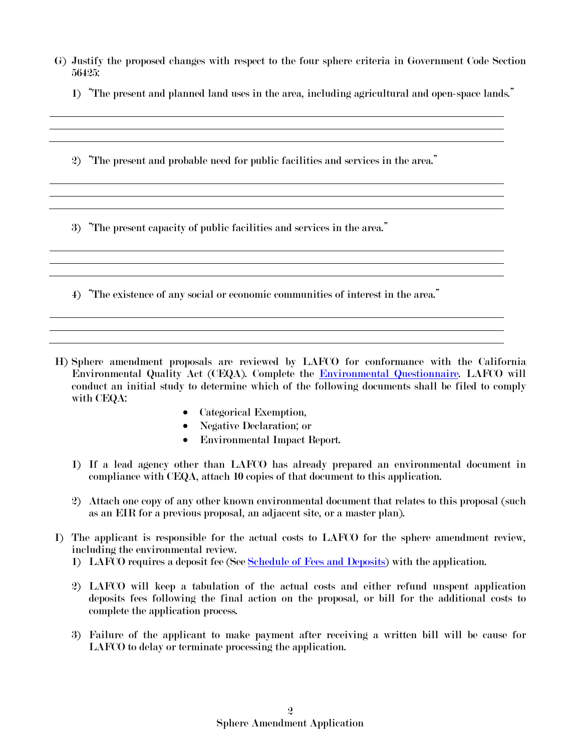- G) Justify the proposed changes with respect to the four sphere criteria in Government Code Section 56425:
	- 1) "The present and planned land uses in the area, including agricultural and open-space lands."
	- 2) "The present and probable need for public facilities and services in the area."

3) "The present capacity of public facilities and services in the area."

4) "The existence of any social or economic communities of interest in the area."

- H) Sphere amendment proposals are reviewed by LAFCO for conformance with the California Environmental Quality Act (CEQA). Complete the [Environmental Questionnaire.](http://www.santacruzlafco.org/pages/forms/EnvironmentalQuest.pdf) LAFCO will conduct an initial study to determine which of the following documents shall be filed to comply with CEQA:
	- Categorical Exemption,
	- Negative Declaration; or
	- Environmental Impact Report.
	- 1) If a lead agency other than LAFCO has already prepared an environmental document in compliance with CEQA, attach 10 copies of that document to this application.
	- 2) Attach one copy of any other known environmental document that relates to this proposal (such as an EIR for a previous proposal, an adjacent site, or a master plan).
- I) The applicant is responsible for the actual costs to LAFCO for the sphere amendment review, including the environmental review.
	- 1) LAFCO requires a deposit fee (See [Schedule of Fees and Deposits\)](http://www.santacruzlafco.org/pages/forms/Feb%202007%20fee%20exhibit.pdf) with the application.
	- 2) LAFCO will keep a tabulation of the actual costs and either refund unspent application deposits fees following the final action on the proposal, or bill for the additional costs to complete the application process.
	- 3) Failure of the applicant to make payment after receiving a written bill will be cause for LAFCO to delay or terminate processing the application.